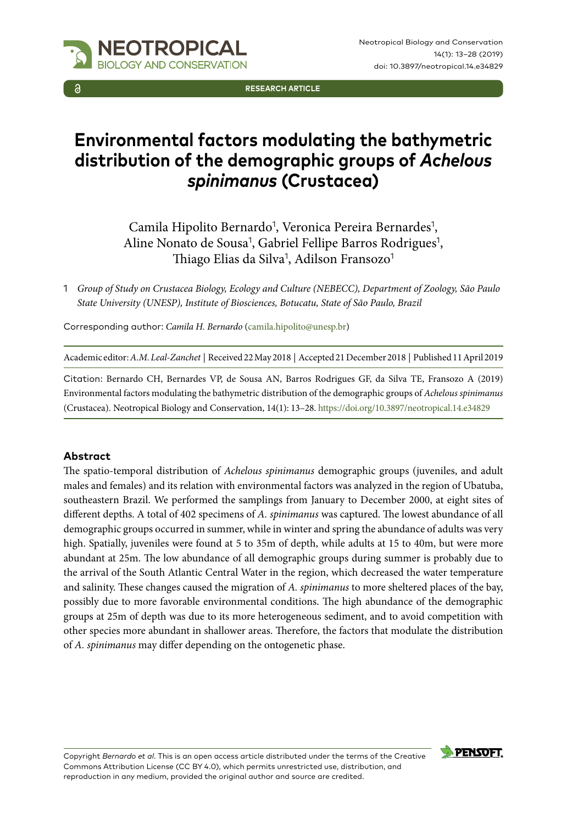

**RESEARCH ARTICLE**

# **Environmental factors modulating the bathymetric distribution of the demographic groups of** *Achelous spinimanus* **(Crustacea)**

Camila Hipolito Bernardo<sup>1</sup>, Veronica Pereira Bernardes<sup>1</sup>, Aline Nonato de Sousa<sup>1</sup>, Gabriel Fellipe Barros Rodrigues<sup>1</sup>, Thiago Elias da Silva<sup>1</sup>, Adilson Fransozo<sup>1</sup>

1 *Group of Study on Crustacea Biology, Ecology and Culture (NEBECC), Department of Zoology, São Paulo State University (UNESP), Institute of Biosciences, Botucatu, State of São Paulo, Brazil*

Corresponding author: *Camila H. Bernardo* ([camila.hipolito@unesp.br\)](mailto:camila.hipolito@unesp.br)

Academic editor: *A.M. Leal-Zanchet* | Received 22 May 2018 | Accepted 21 December 2018 | Published 11 April 2019

Citation: Bernardo CH, Bernardes VP, de Sousa AN, Barros Rodrigues GF, da Silva TE, Fransozo A (2019) Environmental factors modulating the bathymetric distribution of the demographic groups of *Achelous spinimanus* (Crustacea). Neotropical Biology and Conservation, 14(1): 13–28. <https://doi.org/10.3897/neotropical.14.e34829>

#### **Abstract**

The spatio-temporal distribution of *Achelous spinimanus* demographic groups (juveniles, and adult males and females) and its relation with environmental factors was analyzed in the region of Ubatuba, southeastern Brazil. We performed the samplings from January to December 2000, at eight sites of different depths. A total of 402 specimens of *A. spinimanus* was captured. The lowest abundance of all demographic groups occurred in summer, while in winter and spring the abundance of adults was very high. Spatially, juveniles were found at 5 to 35m of depth, while adults at 15 to 40m, but were more abundant at 25m. The low abundance of all demographic groups during summer is probably due to the arrival of the South Atlantic Central Water in the region, which decreased the water temperature and salinity. These changes caused the migration of *A. spinimanus* to more sheltered places of the bay, possibly due to more favorable environmental conditions. The high abundance of the demographic groups at 25m of depth was due to its more heterogeneous sediment, and to avoid competition with other species more abundant in shallower areas. Therefore, the factors that modulate the distribution of *A. spinimanus* may differ depending on the ontogenetic phase.

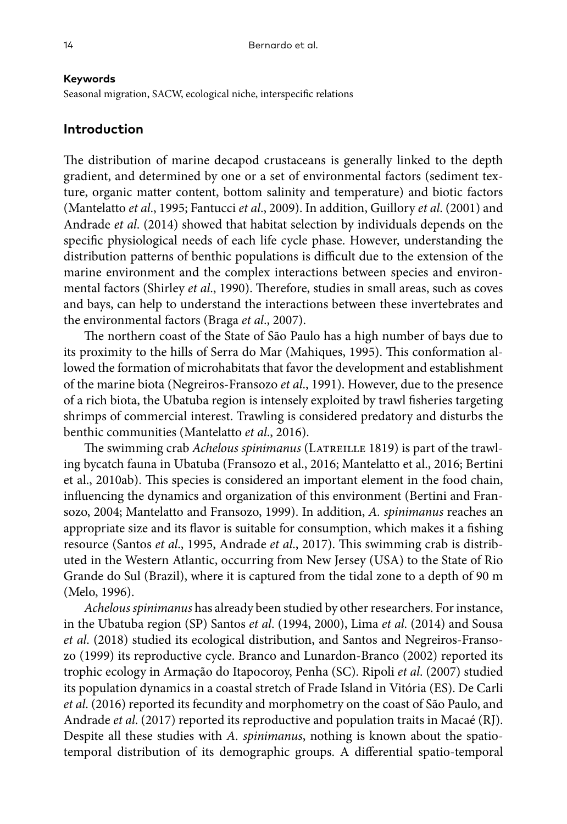#### **Keywords**

Seasonal migration, SACW, ecological niche, interspecific relations

## **Introduction**

The distribution of marine decapod crustaceans is generally linked to the depth gradient, and determined by one or a set of environmental factors (sediment texture, organic matter content, bottom salinity and temperature) and biotic factors (Mantelatto *et al*., 1995; Fantucci *et al*., 2009). In addition, Guillory *et al*. (2001) and Andrade *et al*. (2014) showed that habitat selection by individuals depends on the specific physiological needs of each life cycle phase. However, understanding the distribution patterns of benthic populations is difficult due to the extension of the marine environment and the complex interactions between species and environmental factors (Shirley *et al*., 1990). Therefore, studies in small areas, such as coves and bays, can help to understand the interactions between these invertebrates and the environmental factors (Braga *et al*., 2007).

The northern coast of the State of São Paulo has a high number of bays due to its proximity to the hills of Serra do Mar (Mahiques, 1995). This conformation allowed the formation of microhabitats that favor the development and establishment of the marine biota (Negreiros-Fransozo *et al*., 1991). However, due to the presence of a rich biota, the Ubatuba region is intensely exploited by trawl fisheries targeting shrimps of commercial interest. Trawling is considered predatory and disturbs the benthic communities (Mantelatto *et al*., 2016).

The swimming crab *Achelous spinimanus* (LATREILLE 1819) is part of the trawling bycatch fauna in Ubatuba (Fransozo et al., 2016; Mantelatto et al., 2016; Bertini et al., 2010ab). This species is considered an important element in the food chain, influencing the dynamics and organization of this environment (Bertini and Fransozo, 2004; Mantelatto and Fransozo, 1999). In addition, *A. spinimanus* reaches an appropriate size and its flavor is suitable for consumption, which makes it a fishing resource (Santos *et al*., 1995, Andrade *et al*., 2017). This swimming crab is distributed in the Western Atlantic, occurring from New Jersey (USA) to the State of Rio Grande do Sul (Brazil), where it is captured from the tidal zone to a depth of 90 m (Melo, 1996).

*Achelous spinimanus* has already been studied by other researchers. For instance, in the Ubatuba region (SP) Santos *et al*. (1994, 2000), Lima *et al*. (2014) and Sousa *et al*. (2018) studied its ecological distribution, and Santos and Negreiros-Fransozo (1999) its reproductive cycle. Branco and Lunardon-Branco (2002) reported its trophic ecology in Armação do Itapocoroy, Penha (SC). Ripoli *et al*. (2007) studied its population dynamics in a coastal stretch of Frade Island in Vitória (ES). De Carli *et al*. (2016) reported its fecundity and morphometry on the coast of São Paulo, and Andrade *et al*. (2017) reported its reproductive and population traits in Macaé (RJ). Despite all these studies with *A. spinimanus*, nothing is known about the spatiotemporal distribution of its demographic groups. A differential spatio-temporal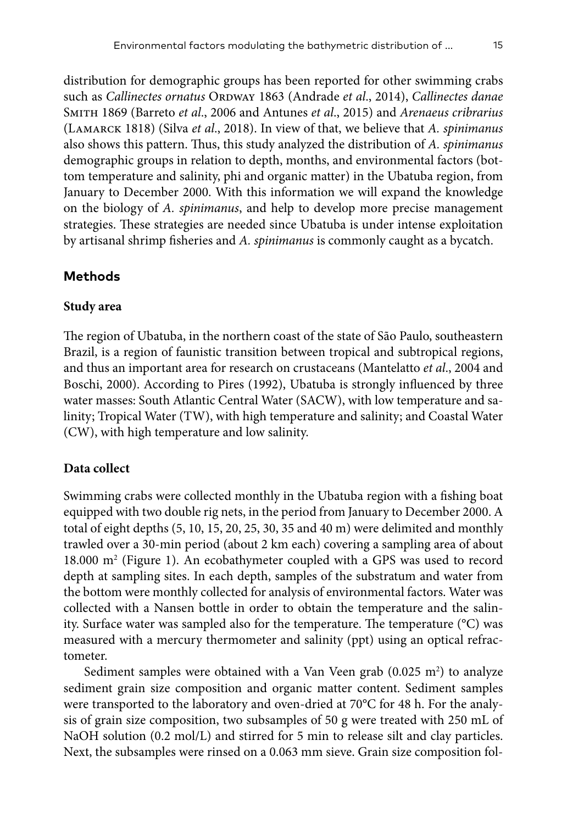distribution for demographic groups has been reported for other swimming crabs such as *Callinectes ornatus* ORDWAY 1863 (Andrade *et al.*, 2014), *Callinectes danae* Smith 1869 (Barreto *et al*., 2006 and Antunes *et al*., 2015) and *Arenaeus cribrarius* (Lamarck 1818) (Silva *et al*., 2018). In view of that, we believe that *A. spinimanus* also shows this pattern. Thus, this study analyzed the distribution of *A. spinimanus* demographic groups in relation to depth, months, and environmental factors (bottom temperature and salinity, phi and organic matter) in the Ubatuba region, from January to December 2000. With this information we will expand the knowledge on the biology of *A. spinimanus*, and help to develop more precise management strategies. These strategies are needed since Ubatuba is under intense exploitation by artisanal shrimp fisheries and *A. spinimanus* is commonly caught as a bycatch.

# **Methods**

## **Study area**

The region of Ubatuba, in the northern coast of the state of São Paulo, southeastern Brazil, is a region of faunistic transition between tropical and subtropical regions, and thus an important area for research on crustaceans (Mantelatto *et al*., 2004 and Boschi, 2000). According to Pires (1992), Ubatuba is strongly influenced by three water masses: South Atlantic Central Water (SACW), with low temperature and salinity; Tropical Water (TW), with high temperature and salinity; and Coastal Water (CW), with high temperature and low salinity.

# **Data collect**

Swimming crabs were collected monthly in the Ubatuba region with a fishing boat equipped with two double rig nets, in the period from January to December 2000. A total of eight depths (5, 10, 15, 20, 25, 30, 35 and 40 m) were delimited and monthly trawled over a 30-min period (about 2 km each) covering a sampling area of about 18.000 m<sup>2</sup> (Figure 1). An ecobathymeter coupled with a GPS was used to record depth at sampling sites. In each depth, samples of the substratum and water from the bottom were monthly collected for analysis of environmental factors. Water was collected with a Nansen bottle in order to obtain the temperature and the salinity. Surface water was sampled also for the temperature. The temperature (°C) was measured with a mercury thermometer and salinity (ppt) using an optical refractometer.

Sediment samples were obtained with a Van Veen grab  $(0.025 \text{ m}^2)$  to analyze sediment grain size composition and organic matter content. Sediment samples were transported to the laboratory and oven-dried at 70°C for 48 h. For the analysis of grain size composition, two subsamples of 50 g were treated with 250 mL of NaOH solution (0.2 mol/L) and stirred for 5 min to release silt and clay particles. Next, the subsamples were rinsed on a 0.063 mm sieve. Grain size composition fol-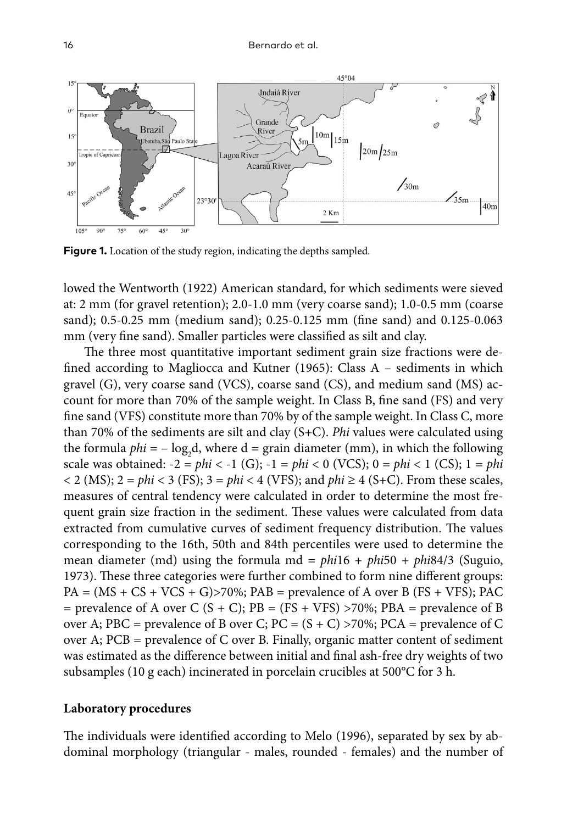

**Figure 1.** Location of the study region, indicating the depths sampled.

lowed the Wentworth (1922) American standard, for which sediments were sieved at: 2 mm (for gravel retention); 2.0-1.0 mm (very coarse sand); 1.0-0.5 mm (coarse sand); 0.5-0.25 mm (medium sand); 0.25-0.125 mm (fine sand) and 0.125-0.063 mm (very fine sand). Smaller particles were classified as silt and clay.

The three most quantitative important sediment grain size fractions were defined according to Magliocca and Kutner (1965): Class A – sediments in which gravel (G), very coarse sand (VCS), coarse sand (CS), and medium sand (MS) account for more than 70% of the sample weight. In Class B, fine sand (FS) and very fine sand (VFS) constitute more than 70% by of the sample weight. In Class C, more than 70% of the sediments are silt and clay (S+C). *Phi* values were calculated using the formula *phi* = – log<sub>2</sub>d, where d = grain diameter (mm), in which the following scale was obtained:  $-2 = phi < -1$  (G);  $-1 = phi < 0$  (VCS);  $0 = phi < 1$  (CS);  $1 = phi$  $<$  2 (MS); 2 = *phi*  $<$  3 (FS); 3 = *phi*  $<$  4 (VFS); and *phi*  $\ge$  4 (S+C). From these scales, measures of central tendency were calculated in order to determine the most frequent grain size fraction in the sediment. These values were calculated from data extracted from cumulative curves of sediment frequency distribution. The values corresponding to the 16th, 50th and 84th percentiles were used to determine the mean diameter (md) using the formula md = *phi*16 + *phi*50 + *phi*84/3 (Suguio, 1973). These three categories were further combined to form nine different groups:  $PA = (MS + CS + VCS + G)$ >70%;  $PAB =$  prevalence of A over B (FS + VFS); PAC = prevalence of A over C  $(S + C)$ ; PB = (FS + VFS) >70%; PBA = prevalence of B over A; PBC = prevalence of B over C; PC =  $(S + C)$  >70%; PCA = prevalence of C over A; PCB = prevalence of C over B. Finally, organic matter content of sediment was estimated as the difference between initial and final ash-free dry weights of two subsamples (10 g each) incinerated in porcelain crucibles at 500°C for 3 h.

## **Laboratory procedures**

The individuals were identified according to Melo (1996), separated by sex by abdominal morphology (triangular - males, rounded - females) and the number of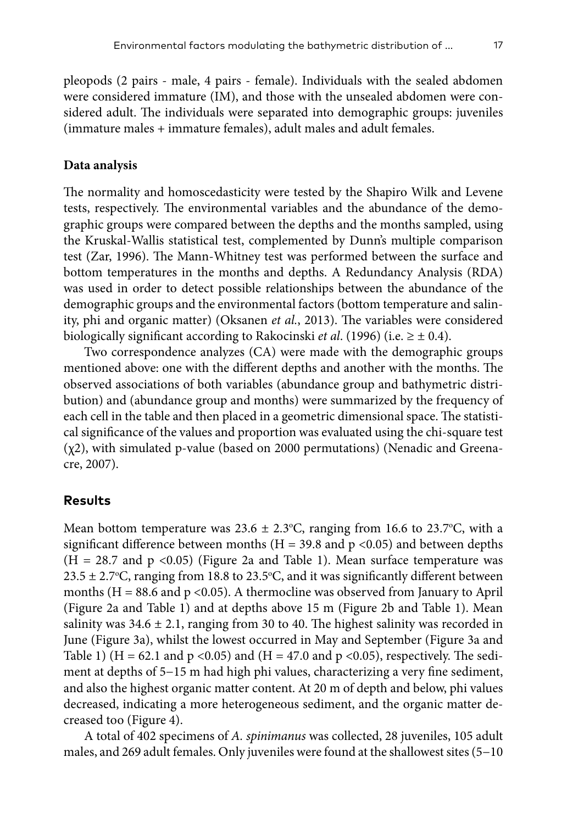pleopods (2 pairs - male, 4 pairs - female). Individuals with the sealed abdomen were considered immature (IM), and those with the unsealed abdomen were considered adult. The individuals were separated into demographic groups: juveniles (immature males + immature females), adult males and adult females.

#### **Data analysis**

The normality and homoscedasticity were tested by the Shapiro Wilk and Levene tests, respectively. The environmental variables and the abundance of the demographic groups were compared between the depths and the months sampled, using the Kruskal-Wallis statistical test, complemented by Dunn's multiple comparison test (Zar, 1996). The Mann-Whitney test was performed between the surface and bottom temperatures in the months and depths. A Redundancy Analysis (RDA) was used in order to detect possible relationships between the abundance of the demographic groups and the environmental factors (bottom temperature and salinity, phi and organic matter) (Oksanen *et al.*, 2013). The variables were considered biologically significant according to Rakocinski *et al.* (1996) (i.e.  $\geq \pm 0.4$ ).

Two correspondence analyzes (CA) were made with the demographic groups mentioned above: one with the different depths and another with the months. The observed associations of both variables (abundance group and bathymetric distribution) and (abundance group and months) were summarized by the frequency of each cell in the table and then placed in a geometric dimensional space. The statistical significance of the values and proportion was evaluated using the chi-square test (χ2), with simulated p-value (based on 2000 permutations) (Nenadic and Greenacre, 2007).

## **Results**

Mean bottom temperature was  $23.6 \pm 2.3$ °C, ranging from 16.6 to 23.7°C, with a significant difference between months ( $H = 39.8$  and  $p \le 0.05$ ) and between depths  $(H = 28.7$  and  $p < 0.05$ ) (Figure 2a and Table 1). Mean surface temperature was  $23.5 \pm 2.7$ °C, ranging from 18.8 to 23.5°C, and it was significantly different between months ( $H = 88.6$  and  $p < 0.05$ ). A thermocline was observed from January to April (Figure 2a and Table 1) and at depths above 15 m (Figure 2b and Table 1). Mean salinity was  $34.6 \pm 2.1$ , ranging from 30 to 40. The highest salinity was recorded in June (Figure 3a), whilst the lowest occurred in May and September (Figure 3a and Table 1) (H = 62.1 and p <0.05) and (H = 47.0 and p <0.05), respectively. The sediment at depths of 5−15 m had high phi values, characterizing a very fine sediment, and also the highest organic matter content. At 20 m of depth and below, phi values decreased, indicating a more heterogeneous sediment, and the organic matter decreased too (Figure 4).

A total of 402 specimens of *A. spinimanus* was collected, 28 juveniles, 105 adult males, and 269 adult females. Only juveniles were found at the shallowest sites (5−10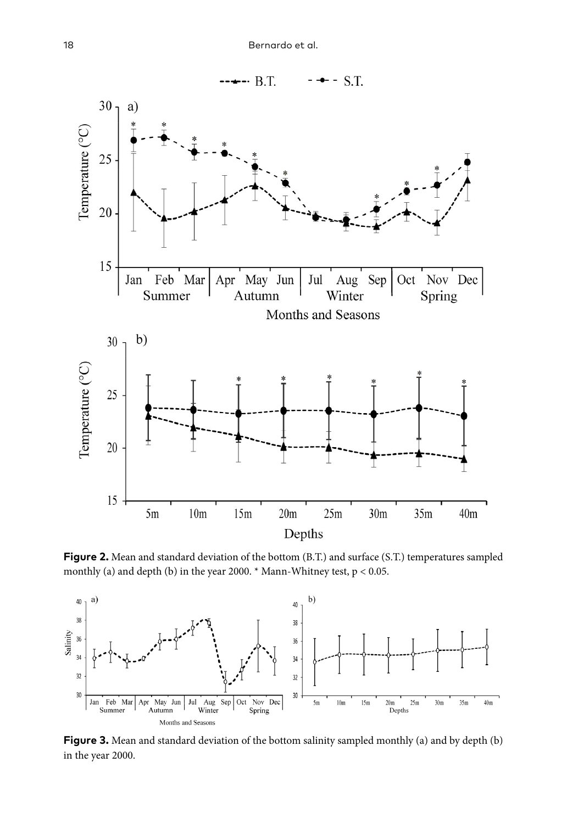

**Figure 2.** Mean and standard deviation of the bottom (B.T.) and surface (S.T.) temperatures sampled monthly (a) and depth (b) in the year 2000.  $*$  Mann-Whitney test,  $p < 0.05$ .



**Figure 3.** Mean and standard deviation of the bottom salinity sampled monthly (a) and by depth (b) in the year 2000.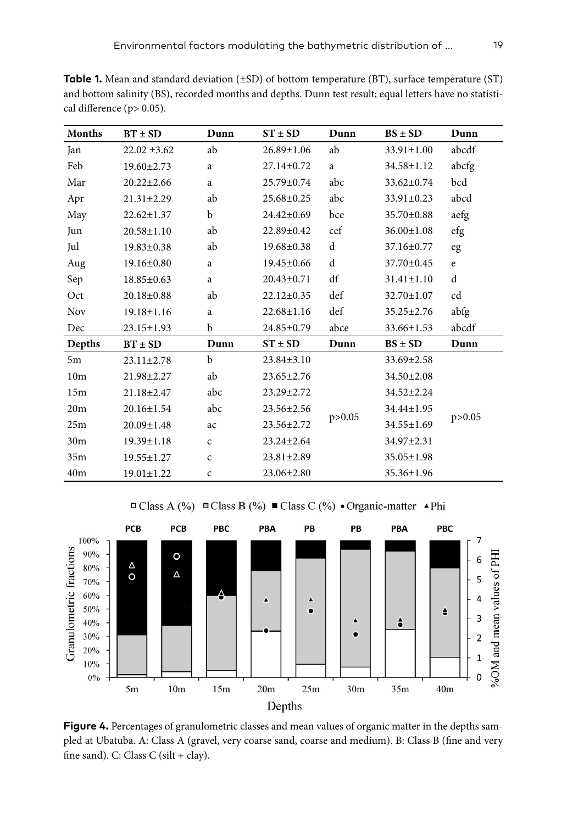**Table 1.** Mean and standard deviation (±SD) of bottom temperature (BT), surface temperature (ST) and bottom salinity (BS), recorded months and depths. Dunn test result; equal letters have no statistical difference (p> 0.05).

| Months          | $BT \pm SD$      | Dunn         | $ST \pm SD$      | Dunn     | $BS \pm SD$      | Dunn        |
|-----------------|------------------|--------------|------------------|----------|------------------|-------------|
| Jan             | $22.02 \pm 3.62$ | ab           | 26.89±1.06       | ab       | 33.91±1.00       | abcdf       |
| Feb             | $19.60 \pm 2.73$ | a            | $27.14 \pm 0.72$ | a        | 34.58±1.12       | abcfg       |
| Mar             | $20.22 \pm 2.66$ | a            | 25.79±0.74       | abc      | 33.62±0.74       | bcd         |
| Apr             | $21.31 \pm 2.29$ | ab           | $25.68 \pm 0.25$ | abc      | $33.91 \pm 0.23$ | abcd        |
| May             | $22.62 \pm 1.37$ | b            | $24.42 \pm 0.69$ | bce      | 35.70±0.88       | aefg        |
| Jun             | $20.58 \pm 1.10$ | ab           | 22.89±0.42       | cef      | $36.00 \pm 1.08$ | efg         |
| Jul             | $19.83 \pm 0.38$ | ab           | $19.68 \pm 0.38$ | d        | $37.16 \pm 0.77$ | eg          |
| Aug             | $19.16 \pm 0.80$ | a            | 19.45±0.66       | d        | 37.70±0.45       | $\mathbf e$ |
| Sep             | $18.85 \pm 0.63$ | a            | $20.43 \pm 0.71$ | df       | $31.41 \pm 1.10$ | d           |
| Oct             | $20.18 \pm 0.88$ | ab           | $22.12 \pm 0.35$ | def      | 32.70±1.07       | cd          |
| Nov             | $19.18 \pm 1.16$ | a            | $22.68 \pm 1.16$ | def      | $35.25 \pm 2.76$ | abfg        |
| Dec             | 23.15±1.93       | b            | 24.85±0.79       | abce     | 33.66±1.53       | abcdf       |
| Depths          | $BT \pm SD$      | Dunn         | $ST \pm SD$      | Dunn     | $BS \pm SD$      | Dunn        |
| 5m              | $23.11 \pm 2.78$ | $\mathbf b$  | $23.84 \pm 3.10$ | p > 0.05 | 33.69±2.58       | p > 0.05    |
| 10 <sub>m</sub> | 21.98±2.27       | ab           | $23.65 \pm 2.76$ |          | 34.50±2.08       |             |
| 15m             | $21.18 \pm 2.47$ | abc          | $23.29 \pm 2.72$ |          | $34.52 \pm 2.24$ |             |
| 20m             | $20.16 \pm 1.54$ | abc          | 23.56±2.56       |          | 34.44±1.95       |             |
| 25m             | $20.09 \pm 1.48$ | ac           | $23.56 \pm 2.72$ |          | 34.55±1.69       |             |
| 30 <sub>m</sub> | $19.39 \pm 1.18$ | $\mathsf{C}$ | $23.24 \pm 2.64$ |          | 34.97±2.31       |             |
| 35m             | $19.55 \pm 1.27$ | $\mathsf{C}$ | $23.81 \pm 2.89$ |          | $35.05 \pm 1.98$ |             |
| 40 <sub>m</sub> | $19.01 \pm 1.22$ | $\mathsf c$  | $23.06 \pm 2.80$ |          | 35.36±1.96       |             |



 $\Box$  Class A (%)  $\Box$  Class B (%)  $\Box$  Class C (%) • Organic-matter • Phi

**Figure 4.** Percentages of granulometric classes and mean values of organic matter in the depths sampled at Ubatuba. A: Class A (gravel, very coarse sand, coarse and medium). B: Class B (fine and very fine sand). C: Class C (silt + clay).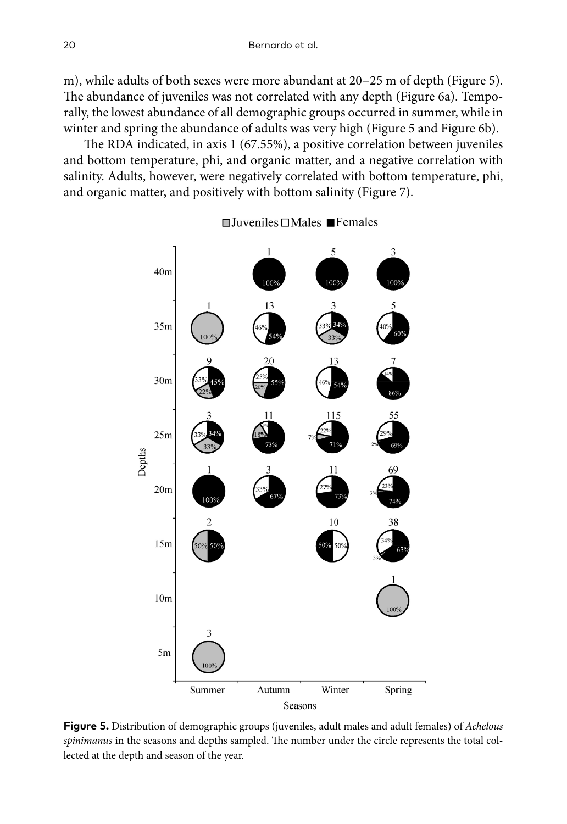m), while adults of both sexes were more abundant at 20−25 m of depth (Figure 5). The abundance of juveniles was not correlated with any depth (Figure 6a). Temporally, the lowest abundance of all demographic groups occurred in summer, while in winter and spring the abundance of adults was very high (Figure 5 and Figure 6b).

The RDA indicated, in axis 1 (67.55%), a positive correlation between juveniles and bottom temperature, phi, and organic matter, and a negative correlation with salinity. Adults, however, were negatively correlated with bottom temperature, phi, and organic matter, and positively with bottom salinity (Figure 7).



 $\Box$  Juveniles  $\Box$  Males  $\blacksquare$  Females

**Figure 5.** Distribution of demographic groups (juveniles, adult males and adult females) of *Achelous spinimanus* in the seasons and depths sampled. The number under the circle represents the total collected at the depth and season of the year.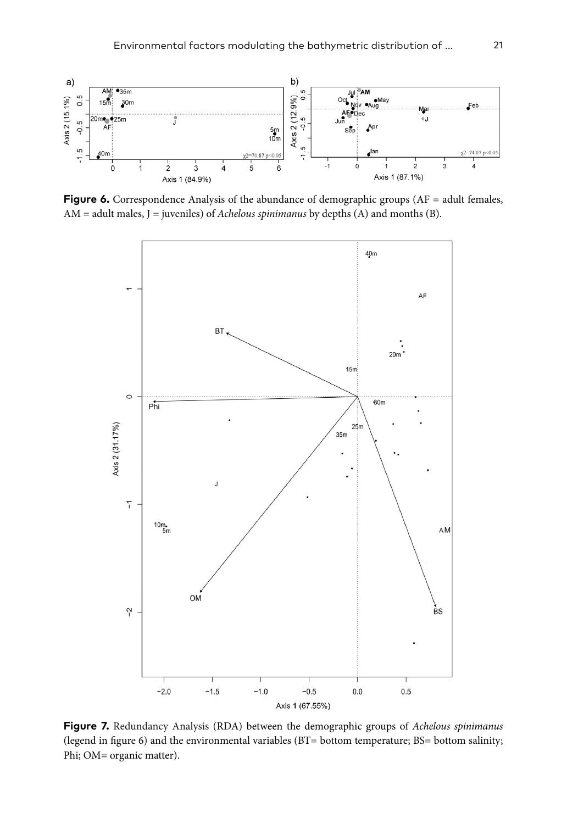

**Figure 6.** Correspondence Analysis of the abundance of demographic groups (AF = adult females, AM = adult males, J = juveniles) of *Achelous spinimanus* by depths (A) and months (B).



**Figure 7.** Redundancy Analysis (RDA) between the demographic groups of *Achelous spinimanus*  (legend in figure 6) and the environmental variables (BT= bottom temperature; BS= bottom salinity; Phi; OM= organic matter).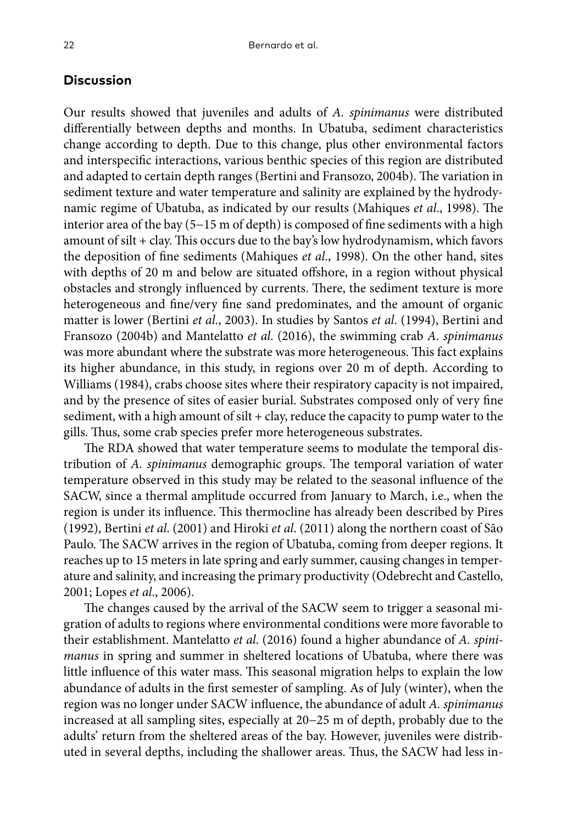# **Discussion**

Our results showed that juveniles and adults of *A. spinimanus* were distributed differentially between depths and months. In Ubatuba, sediment characteristics change according to depth. Due to this change, plus other environmental factors and interspecific interactions, various benthic species of this region are distributed and adapted to certain depth ranges (Bertini and Fransozo, 2004b). The variation in sediment texture and water temperature and salinity are explained by the hydrodynamic regime of Ubatuba, as indicated by our results (Mahiques *et al*., 1998). The interior area of the bay (5−15 m of depth) is composed of fine sediments with a high amount of silt + clay. This occurs due to the bay's low hydrodynamism, which favors the deposition of fine sediments (Mahiques *et al*., 1998). On the other hand, sites with depths of 20 m and below are situated offshore, in a region without physical obstacles and strongly influenced by currents. There, the sediment texture is more heterogeneous and fine/very fine sand predominates, and the amount of organic matter is lower (Bertini *et al*., 2003). In studies by Santos *et al*. (1994), Bertini and Fransozo (2004b) and Mantelatto *et al*. (2016), the swimming crab *A. spinimanus* was more abundant where the substrate was more heterogeneous. This fact explains its higher abundance, in this study, in regions over 20 m of depth. According to Williams (1984), crabs choose sites where their respiratory capacity is not impaired, and by the presence of sites of easier burial. Substrates composed only of very fine sediment, with a high amount of silt  $+$  clay, reduce the capacity to pump water to the gills. Thus, some crab species prefer more heterogeneous substrates.

The RDA showed that water temperature seems to modulate the temporal distribution of *A. spinimanus* demographic groups. The temporal variation of water temperature observed in this study may be related to the seasonal influence of the SACW, since a thermal amplitude occurred from January to March, i.e., when the region is under its influence. This thermocline has already been described by Pires (1992), Bertini *et al*. (2001) and Hiroki *et al*. (2011) along the northern coast of São Paulo. The SACW arrives in the region of Ubatuba, coming from deeper regions. It reaches up to 15 meters in late spring and early summer, causing changes in temperature and salinity, and increasing the primary productivity (Odebrecht and Castello, 2001; Lopes *et al*., 2006).

The changes caused by the arrival of the SACW seem to trigger a seasonal migration of adults to regions where environmental conditions were more favorable to their establishment. Mantelatto *et al*. (2016) found a higher abundance of *A. spinimanus* in spring and summer in sheltered locations of Ubatuba, where there was little influence of this water mass. This seasonal migration helps to explain the low abundance of adults in the first semester of sampling. As of July (winter), when the region was no longer under SACW influence, the abundance of adult *A. spinimanus* increased at all sampling sites, especially at 20−25 m of depth, probably due to the adults' return from the sheltered areas of the bay. However, juveniles were distributed in several depths, including the shallower areas. Thus, the SACW had less in-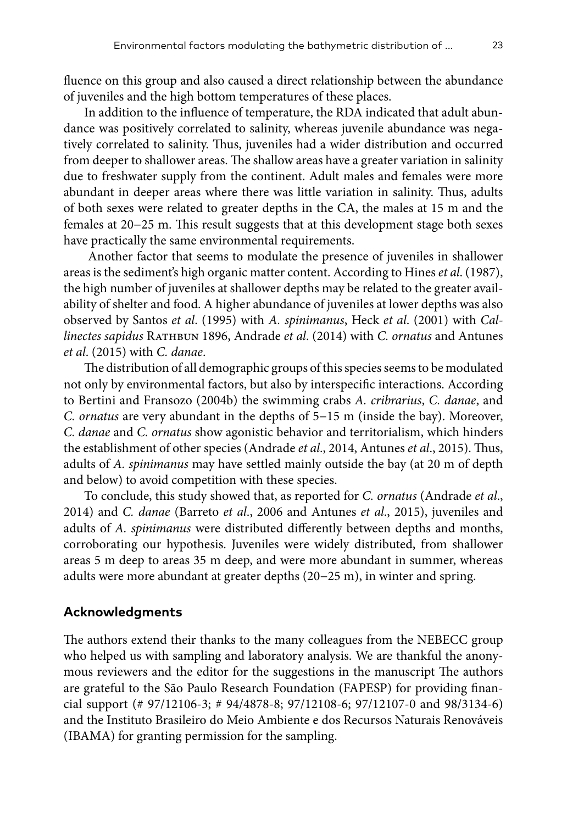fluence on this group and also caused a direct relationship between the abundance of juveniles and the high bottom temperatures of these places.

In addition to the influence of temperature, the RDA indicated that adult abundance was positively correlated to salinity, whereas juvenile abundance was negatively correlated to salinity. Thus, juveniles had a wider distribution and occurred from deeper to shallower areas. The shallow areas have a greater variation in salinity due to freshwater supply from the continent. Adult males and females were more abundant in deeper areas where there was little variation in salinity. Thus, adults of both sexes were related to greater depths in the CA, the males at 15 m and the females at 20−25 m. This result suggests that at this development stage both sexes have practically the same environmental requirements.

 Another factor that seems to modulate the presence of juveniles in shallower areas is the sediment's high organic matter content. According to Hines *et al*. (1987), the high number of juveniles at shallower depths may be related to the greater availability of shelter and food. A higher abundance of juveniles at lower depths was also observed by Santos *et al*. (1995) with *A. spinimanus*, Heck *et al*. (2001) with *Callinectes sapidus* Rathbun 1896, Andrade *et al*. (2014) with *C. ornatus* and Antunes *et al*. (2015) with *C. danae*.

The distribution of all demographic groups of this species seems to be modulated not only by environmental factors, but also by interspecific interactions. According to Bertini and Fransozo (2004b) the swimming crabs *A. cribrarius*, *C. danae*, and *C. ornatus* are very abundant in the depths of 5−15 m (inside the bay). Moreover, *C. danae* and *C. ornatus* show agonistic behavior and territorialism, which hinders the establishment of other species (Andrade *et al*., 2014, Antunes *et al*., 2015). Thus, adults of *A. spinimanus* may have settled mainly outside the bay (at 20 m of depth and below) to avoid competition with these species.

To conclude, this study showed that, as reported for *C. ornatus* (Andrade *et al*., 2014) and *C. danae* (Barreto *et al*., 2006 and Antunes *et al*., 2015), juveniles and adults of *A. spinimanus* were distributed differently between depths and months, corroborating our hypothesis. Juveniles were widely distributed, from shallower areas 5 m deep to areas 35 m deep, and were more abundant in summer, whereas adults were more abundant at greater depths (20−25 m), in winter and spring.

## **Acknowledgments**

The authors extend their thanks to the many colleagues from the NEBECC group who helped us with sampling and laboratory analysis. We are thankful the anonymous reviewers and the editor for the suggestions in the manuscript The authors are grateful to the São Paulo Research Foundation (FAPESP) for providing financial support (# 97/12106-3; # 94/4878-8; 97/12108-6; 97/12107-0 and 98/3134-6) and the Instituto Brasileiro do Meio Ambiente e dos Recursos Naturais Renováveis (IBAMA) for granting permission for the sampling.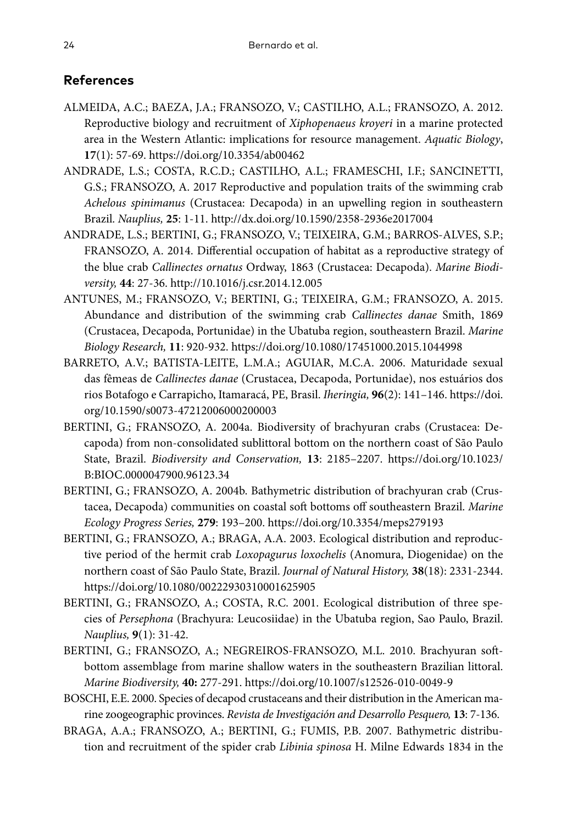# **References**

- ALMEIDA, A.C.; BAEZA, J.A.; FRANSOZO, V.; CASTILHO, A.L.; FRANSOZO, A. 2012. Reproductive biology and recruitment of *Xiphopenaeus kroyeri* in a marine protected area in the Western Atlantic: implications for resource management. *Aquatic Biology*, **17**(1): 57-69.<https://doi.org/10.3354/ab00462>
- ANDRADE, L.S.; COSTA, R.C.D.; CASTILHO, A.L.; FRAMESCHI, I.F.; SANCINETTI, G.S.; FRANSOZO, A. 2017 Reproductive and population traits of the swimming crab *Achelous spinimanus* (Crustacea: Decapoda) in an upwelling region in southeastern Brazil. *Nauplius,* **25**: 1-11.<http://dx.doi.org/10.1590/2358-2936e2017004>
- ANDRADE, L.S.; BERTINI, G.; FRANSOZO, V.; TEIXEIRA, G.M.; BARROS-ALVES, S.P.; FRANSOZO, A. 2014. Differential occupation of habitat as a reproductive strategy of the blue crab *Callinectes ornatus* Ordway, 1863 (Crustacea: Decapoda). *Marine Biodiversity,* **44**: 27-36. <http://10.1016/j.csr.2014.12.005>
- ANTUNES, M.; FRANSOZO, V.; BERTINI, G.; TEIXEIRA, G.M.; FRANSOZO, A. 2015. Abundance and distribution of the swimming crab *Callinectes danae* Smith, 1869 (Crustacea, Decapoda, Portunidae) in the Ubatuba region, southeastern Brazil. *Marine Biology Research,* **11**: 920-932. <https://doi.org/10.1080/17451000.2015.1044998>
- BARRETO, A.V.; BATISTA-LEITE, L.M.A.; AGUIAR, M.C.A. 2006. Maturidade sexual das fêmeas de *Callinectes danae* (Crustacea, Decapoda, Portunidae), nos estuários dos rios Botafogo e Carrapicho, Itamaracá, PE, Brasil. *Iheringia,* **96**(2): 141–146. [https://doi.](https://doi.org/10.1590/s0073-47212006000200003) [org/10.1590/s0073-47212006000200003](https://doi.org/10.1590/s0073-47212006000200003)
- BERTINI, G.; FRANSOZO, A. 2004a. Biodiversity of brachyuran crabs (Crustacea: Decapoda) from non-consolidated sublittoral bottom on the northern coast of São Paulo State, Brazil. *Biodiversity and Conservation,* **13**: 2185–2207. [https://doi.org/10.1023/](https://doi.org/10.1023/B:BIOC.0000047900.96123.34) [B:BIOC.0000047900.96123.34](https://doi.org/10.1023/B:BIOC.0000047900.96123.34)
- BERTINI, G.; FRANSOZO, A. 2004b. Bathymetric distribution of brachyuran crab (Crustacea, Decapoda) communities on coastal soft bottoms off southeastern Brazil. *Marine Ecology Progress Series,* **279**: 193–200.<https://doi.org/10.3354/meps279193>
- BERTINI, G.; FRANSOZO, A.; BRAGA, A.A. 2003. Ecological distribution and reproductive period of the hermit crab *Loxopagurus loxochelis* (Anomura, Diogenidae) on the northern coast of São Paulo State, Brazil. *Journal of Natural History,* **38**(18): 2331-2344. <https://doi.org/10.1080/00222930310001625905>
- BERTINI, G.; FRANSOZO, A.; COSTA, R.C. 2001. Ecological distribution of three species of *Persephona* (Brachyura: Leucosiidae) in the Ubatuba region, Sao Paulo, Brazil. *Nauplius,* **9**(1): 31-42.
- BERTINI, G.; FRANSOZO, A.; NEGREIROS-FRANSOZO, M.L. 2010. Brachyuran softbottom assemblage from marine shallow waters in the southeastern Brazilian littoral. *Marine Biodiversity,* **40:** 277-291.<https://doi.org/10.1007/s12526-010-0049-9>
- BOSCHI, E.E. 2000. Species of decapod crustaceans and their distribution in the American marine zoogeographic provinces. *Revista de Investigación and Desarrollo Pesquero,* **13**: 7-136.
- BRAGA, A.A.; FRANSOZO, A.; BERTINI, G.; FUMIS, P.B. 2007. Bathymetric distribution and recruitment of the spider crab *Libinia spinosa* H. Milne Edwards 1834 in the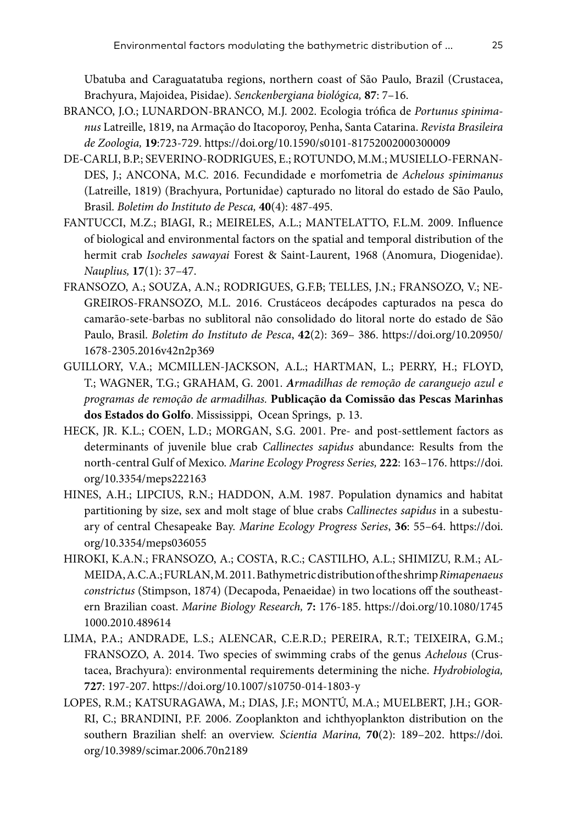Ubatuba and Caraguatatuba regions, northern coast of São Paulo, Brazil (Crustacea, Brachyura, Majoidea, Pisidae). *Senckenbergiana biológica,* **87**: 7–16.

- BRANCO, J.O.; LUNARDON-BRANCO, M.J. 2002. Ecologia trófica de *Portunus spinimanus* Latreille, 1819, na Armação do Itacoporoy, Penha, Santa Catarina. *Revista Brasileira de Zoologia,* **19**:723-729. <https://doi.org/10.1590/s0101-81752002000300009>
- DE-CARLI, B.P.; SEVERINO-RODRIGUES, E.; ROTUNDO, M.M.; MUSIELLO-FERNAN-DES, J.; ANCONA, M.C. 2016. Fecundidade e morfometria de *Achelous spinimanus* (Latreille, 1819) (Brachyura, Portunidae) capturado no litoral do estado de São Paulo, Brasil. *Boletim do Instituto de Pesca,* **40**(4): 487-495.
- FANTUCCI, M.Z.; BIAGI, R.; MEIRELES, A.L.; MANTELATTO, F.L.M. 2009. Influence of biological and environmental factors on the spatial and temporal distribution of the hermit crab *Isocheles sawayai* Forest & Saint-Laurent, 1968 (Anomura, Diogenidae). *Nauplius,* **17**(1): 37–47.
- FRANSOZO, A.; SOUZA, A.N.; RODRIGUES, G.F.B; TELLES, J.N.; FRANSOZO, V.; NE-GREIROS-FRANSOZO, M.L. 2016. Crustáceos decápodes capturados na pesca do camarão-sete-barbas no sublitoral não consolidado do litoral norte do estado de São Paulo, Brasil. *Boletim do Instituto de Pesca*, **42**(2): 369– 386. [https://doi.org/10.20950/](https://doi.org/10.20950/1678-2305.2016v42n2p369) [1678-2305.2016v42n2p369](https://doi.org/10.20950/1678-2305.2016v42n2p369)
- GUILLORY, V.A.; MCMILLEN-JACKSON, A.L.; HARTMAN, L.; PERRY, H.; FLOYD, T.; WAGNER, T.G.; GRAHAM, G. 2001. *Armadilhas de remoção de caranguejo azul e programas de remoção de armadilhas.* **Publicação da Comissão das Pescas Marinhas dos Estados do Golfo**. Mississippi, Ocean Springs, p. 13.
- HECK, JR. K.L.; COEN, L.D.; MORGAN, S.G. 2001. Pre- and post-settlement factors as determinants of juvenile blue crab *Callinectes sapidus* abundance: Results from the north-central Gulf of Mexico. *Marine Ecology Progress Series,* **222**: 163–176. [https://doi.](https://doi.org/10.3354/meps222163) [org/10.3354/meps222163](https://doi.org/10.3354/meps222163)
- HINES, A.H.; LIPCIUS, R.N.; HADDON, A.M. 1987. Population dynamics and habitat partitioning by size, sex and molt stage of blue crabs *Callinectes sapidus* in a subestuary of central Chesapeake Bay. *Marine Ecology Progress Series*, **36**: 55–64. [https://doi.](https://doi.org/10.3354/meps036055) [org/10.3354/meps036055](https://doi.org/10.3354/meps036055)
- HIROKI, K.A.N.; FRANSOZO, A.; COSTA, R.C.; CASTILHO, A.L.; SHIMIZU, R.M.; AL-MEIDA, A.C.A.; FURLAN, M. 2011. Bathymetric distribution of the shrimp *Rimapenaeus constrictus* (Stimpson, 1874) (Decapoda, Penaeidae) in two locations off the southeastern Brazilian coast. *Marine Biology Research,* **7:** 176-185. [https://doi.org/10.1080/1745](https://doi.org/10.1080/17451000.2010.489614) [1000.2010.489614](https://doi.org/10.1080/17451000.2010.489614)
- LIMA, P.A.; ANDRADE, L.S.; ALENCAR, C.E.R.D.; PEREIRA, R.T.; TEIXEIRA, G.M.; FRANSOZO, A. 2014. Two species of swimming crabs of the genus *Achelous* (Crustacea, Brachyura): environmental requirements determining the niche. *Hydrobiologia,* **727**: 197-207. <https://doi.org/10.1007/s10750-014-1803-y>
- LOPES, R.M.; KATSURAGAWA, M.; DIAS, J.F.; MONTÚ, M.A.; MUELBERT, J.H.; GOR-RI, C.; BRANDINI, P.F. 2006. Zooplankton and ichthyoplankton distribution on the southern Brazilian shelf: an overview. *Scientia Marina,* **70**(2): 189–202. [https://doi.](https://doi.org/10.3989/scimar.2006.70n2189) [org/10.3989/scimar.2006.70n2189](https://doi.org/10.3989/scimar.2006.70n2189)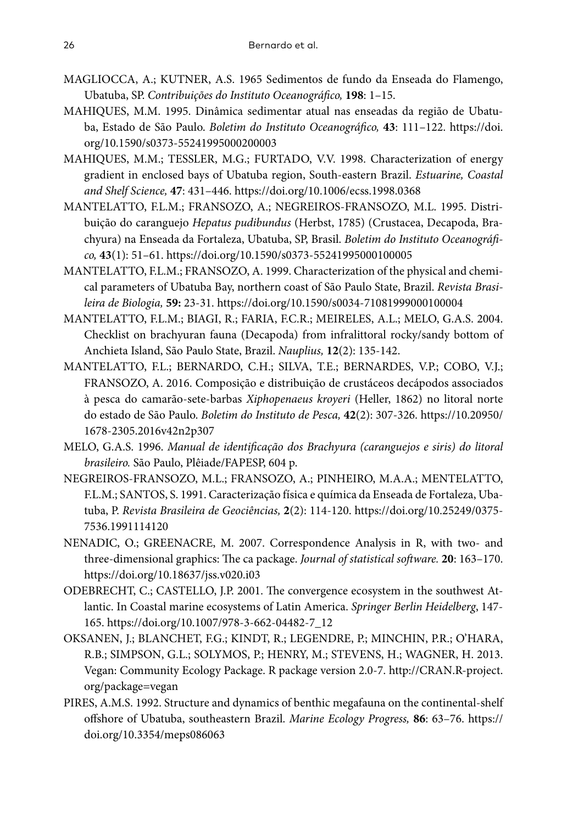- MAGLIOCCA, A.; KUTNER, A.S. 1965 Sedimentos de fundo da Enseada do Flamengo, Ubatuba, SP. *Contribuições do Instituto Oceanográfico,* **198**: 1–15.
- MAHIQUES, M.M. 1995. Dinâmica sedimentar atual nas enseadas da região de Ubatuba, Estado de São Paulo. *Boletim do Instituto Oceanográfico,* **43**: 111–122. [https://doi.](https://doi.org/10.1590/s0373-55241995000200003) [org/10.1590/s0373-55241995000200003](https://doi.org/10.1590/s0373-55241995000200003)
- MAHIQUES, M.M.; TESSLER, M.G.; FURTADO, V.V. 1998. Characterization of energy gradient in enclosed bays of Ubatuba region, South-eastern Brazil. *Estuarine, Coastal and Shelf Science,* **47**: 431–446. <https://doi.org/10.1006/ecss.1998.0368>
- MANTELATTO, F.L.M.; FRANSOZO, A.; NEGREIROS-FRANSOZO, M.L. 1995. Distribuição do caranguejo *Hepatus pudibundus* (Herbst, 1785) (Crustacea, Decapoda, Brachyura) na Enseada da Fortaleza, Ubatuba, SP, Brasil. *Boletim do Instituto Oceanográfico,* **43**(1): 51–61.<https://doi.org/10.1590/s0373-55241995000100005>
- MANTELATTO, F.L.M.; FRANSOZO, A. 1999. Characterization of the physical and chemical parameters of Ubatuba Bay, northern coast of São Paulo State, Brazil. *Revista Brasileira de Biologia,* **59:** 23-31.<https://doi.org/10.1590/s0034-71081999000100004>
- MANTELATTO, F.L.M.; BIAGI, R.; FARIA, F.C.R.; MEIRELES, A.L.; MELO, G.A.S. 2004. Checklist on brachyuran fauna (Decapoda) from infralittoral rocky/sandy bottom of Anchieta Island, São Paulo State, Brazil. *Nauplius,* **12**(2): 135-142.
- MANTELATTO, F.L.; BERNARDO, C.H.; SILVA, T.E.; BERNARDES, V.P.; COBO, V.J.; FRANSOZO, A. 2016. Composição e distribuição de crustáceos decápodos associados à pesca do camarão-sete-barbas *Xiphopenaeus kroyeri* (Heller, 1862) no litoral norte do estado de São Paulo. *Boletim do Instituto de Pesca,* **42**(2): 307-326. [https://10.20950/](https://10.20950/1678-2305.2016v42n2p307) [1678-2305.2016v42n2p307](https://10.20950/1678-2305.2016v42n2p307)
- MELO, G.A.S. 1996. *Manual de identificação dos Brachyura (caranguejos e siris) do litoral brasileiro.* São Paulo, Plêiade/FAPESP, 604 p.
- NEGREIROS-FRANSOZO, M.L.; FRANSOZO, A.; PINHEIRO, M.A.A.; MENTELATTO, F.L.M.; SANTOS, S. 1991. Caracterização física e química da Enseada de Fortaleza, Ubatuba, P. *Revista Brasileira de Geociências,* **2**(2): 114-120. [https://doi.org/10.25249/0375-](https://doi.org/10.25249/0375-7536.1991114120) [7536.1991114120](https://doi.org/10.25249/0375-7536.1991114120)
- NENADIC, O.; GREENACRE, M. 2007. Correspondence Analysis in R, with two- and three-dimensional graphics: The ca package. *Journal of statistical software.* **20**: 163–170. <https://doi.org/10.18637/jss.v020.i03>
- ODEBRECHT, C.; CASTELLO, J.P. 2001. The convergence ecosystem in the southwest Atlantic. In Coastal marine ecosystems of Latin America. *Springer Berlin Heidelberg*, 147- 165. [https://doi.org/10.1007/978-3-662-04482-7\\_12](https://doi.org/10.1007/978-3-662-04482-7_12)
- OKSANEN, J.; BLANCHET, F.G.; KINDT, R.; LEGENDRE, P.; MINCHIN, P.R.; O'HARA, R.B.; SIMPSON, G.L.; SOLYMOS, P.; HENRY, M.; STEVENS, H.; WAGNER, H. 2013. Vegan: Community Ecology Package. R package version 2.0-7. [http://CRAN.R-project.](http://CRAN.R-project.org/package=vegan) [org/package=vegan](http://CRAN.R-project.org/package=vegan)
- PIRES, A.M.S. 1992. Structure and dynamics of benthic megafauna on the continental-shelf offshore of Ubatuba, southeastern Brazil. *Marine Ecology Progress,* **86**: 63–76. [https://](https://doi.org/10.3354/meps086063) [doi.org/10.3354/meps086063](https://doi.org/10.3354/meps086063)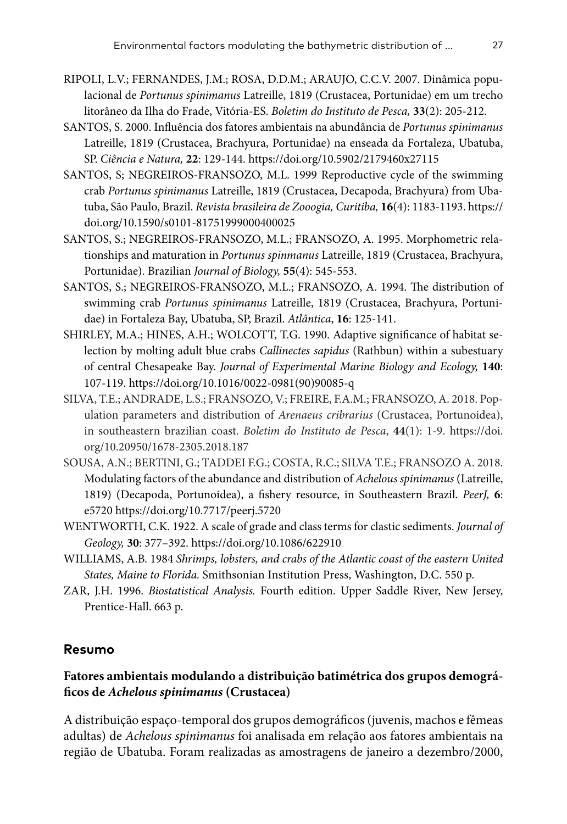- RIPOLI, L.V.; FERNANDES, J.M.; ROSA, D.D.M.; ARAUJO, C.C.V. 2007. Dinâmica populacional de *Portunus spinimanus* Latreille, 1819 (Crustacea, Portunidae) em um trecho litorâneo da Ilha do Frade, Vitória-ES. *Boletim do Instituto de Pesca,* **33**(2): 205-212.
- SANTOS, S. 2000. Influência dos fatores ambientais na abundância de *Portunus spinimanus* Latreille, 1819 (Crustacea, Brachyura, Portunidae) na enseada da Fortaleza, Ubatuba, SP. *Ciência e Natura,* **22**: 129-144.<https://doi.org/10.5902/2179460x27115>
- SANTOS, S; NEGREIROS-FRANSOZO, M.L. 1999 Reproductive cycle of the swimming crab *Portunus spinimanus* Latreille, 1819 (Crustacea, Decapoda, Brachyura) from Ubatuba, São Paulo, Brazil. *Revista brasileira de Zooogia, Curitiba,* **16**(4): 1183-1193. [https://](https://doi.org/10.1590/s0101-81751999000400025) [doi.org/10.1590/s0101-81751999000400025](https://doi.org/10.1590/s0101-81751999000400025)
- SANTOS, S.; NEGREIROS-FRANSOZO, M.L.; FRANSOZO, A. 1995. Morphometric relationships and maturation in *Portunus spinmanus* Latreille, 1819 (Crustacea, Brachyura, Portunidae). Brazilian *Journal of Biology,* **55**(4): 545-553.
- SANTOS, S.; NEGREIROS-FRANSOZO, M.L.; FRANSOZO, A. 1994. The distribution of swimming crab *Portunus spinimanus* Latreille, 1819 (Crustacea, Brachyura, Portunidae) in Fortaleza Bay, Ubatuba, SP, Brazil. *Atlântica*, **16**: 125-141.
- SHIRLEY, M.A.; HINES, A.H.; WOLCOTT, T.G. 1990. Adaptive significance of habitat selection by molting adult blue crabs *Callinectes sapidus* (Rathbun) within a subestuary of central Chesapeake Bay. *Journal of Experimental Marine Biology and Ecology,* **140**: 107-119. [https://doi.org/10.1016/0022-0981\(90\)90085-q](https://doi.org/10.1016/0022-0981(90)90085-q)
- SILVA, T.E.; ANDRADE, L.S.; FRANSOZO, V.; FREIRE, F.A.M.; FRANSOZO, A. 2018. Population parameters and distribution of *Arenaeus cribrarius* (Crustacea, Portunoidea), in southeastern brazilian coast. *Boletim do Instituto de Pesca*, **44**(1): 1-9. [https://doi.](https://doi.org/10.20950/1678-2305.2018.187) [org/10.20950/1678-2305.2018.187](https://doi.org/10.20950/1678-2305.2018.187)
- SOUSA, A.N.; BERTINI, G.; TADDEI F.G.; COSTA, R.C.; SILVA T.E.; FRANSOZO A. 2018. Modulating factors of the abundance and distribution of *Achelous spinimanus* (Latreille, 1819) (Decapoda, Portunoidea), a fishery resource, in Southeastern Brazil. *PeerJ,* **6**: e5720<https://doi.org/10.7717/peerj.5720>
- WENTWORTH, C.K. 1922. A scale of grade and class terms for clastic sediments. *Journal of Geology,* **30**: 377–392. <https://doi.org/10.1086/622910>
- WILLIAMS, A.B. 1984 *Shrimps, lobsters, and crabs of the Atlantic coast of the eastern United States, Maine to Florida.* Smithsonian Institution Press, Washington, D.C. 550 p.
- ZAR, J.H. 1996. *Biostatistical Analysis.* Fourth edition. Upper Saddle River, New Jersey, Prentice-Hall. 663 p.

## **Resumo**

# **Fatores ambientais modulando a distribuição batimétrica dos grupos demográficos de** *Achelous spinimanus* **(Crustacea)**

A distribuição espaço-temporal dos grupos demográficos (juvenis, machos e fêmeas adultas) de *Achelous spinimanus* foi analisada em relação aos fatores ambientais na região de Ubatuba. Foram realizadas as amostragens de janeiro a dezembro/2000,